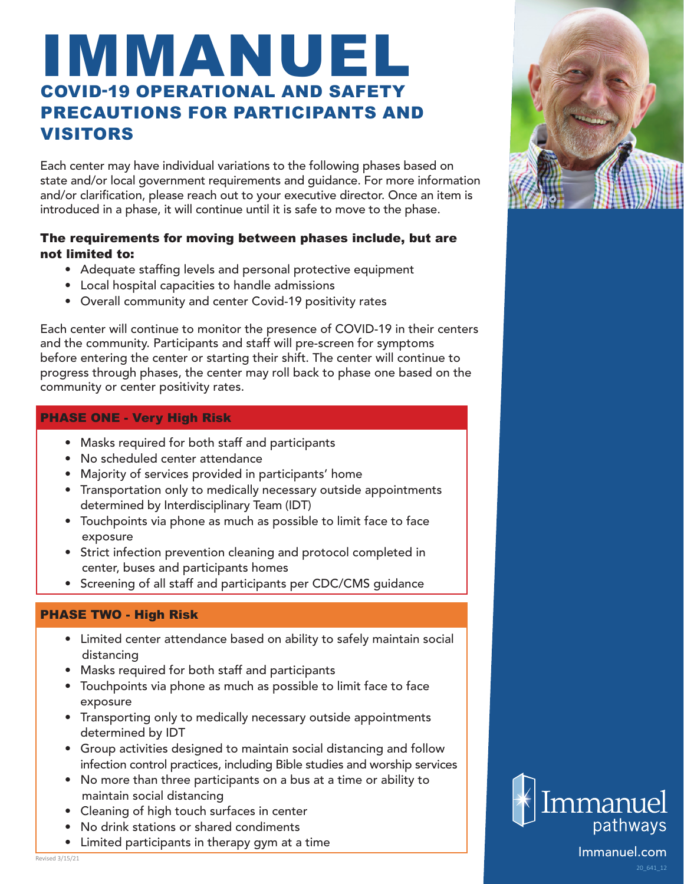# IMMANUEL COVID-19 OPERATIONAL AND SAFETY PRECAUTIONS FOR PARTICIPANTS AND VISITORS

Each center may have individual variations to the following phases based on state and/or local government requirements and guidance. For more information and/or clarification, please reach out to your executive director. Once an item is introduced in a phase, it will continue until it is safe to move to the phase.

# The requirements for moving between phases include, but are not limited to:

- Adequate staffing levels and personal protective equipment
- Local hospital capacities to handle admissions
- Overall community and center Covid-19 positivity rates

Each center will continue to monitor the presence of COVID-19 in their centers and the community. Participants and staff will pre-screen for symptoms before entering the center or starting their shift. The center will continue to progress through phases, the center may roll back to phase one based on the community or center positivity rates.

## PHASE ONE - Very High Risk

- Masks required for both staff and participants
- No scheduled center attendance
- Majority of services provided in participants' home
- Transportation only to medically necessary outside appointments determined by Interdisciplinary Team (IDT)
- Touchpoints via phone as much as possible to limit face to face exposure
- Strict infection prevention cleaning and protocol completed in center, buses and participants homes
- Screening of all staff and participants per CDC/CMS guidance

# PHASE TWO - High Risk

- Limited center attendance based on ability to safely maintain social distancing
- Masks required for both staff and participants
- Touchpoints via phone as much as possible to limit face to face exposure
- Transporting only to medically necessary outside appointments determined by IDT
- Group activities designed to maintain social distancing and follow infection control practices, including Bible studies and worship services
- No more than three participants on a bus at a time or ability to maintain social distancing
- Cleaning of high touch surfaces in center
- No drink stations or shared condiments
- Limited participants in therapy gym at a time





20\_641\_12 <u>Revised 3/15/21</u> **Immanuel.com**